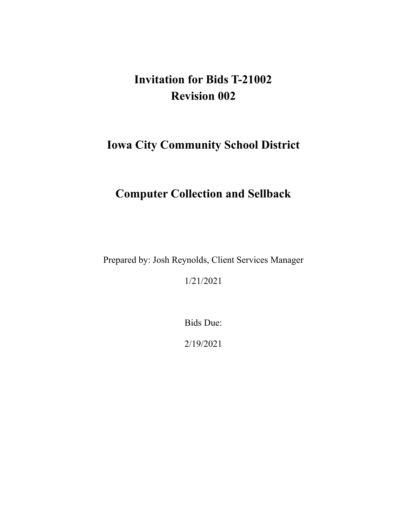# **Invitation for Bids T-21002 Revision 002**

# **Iowa City Community School District**

# **Computer Collection and Sellback**

Prepared by: Josh Reynolds, Client Services Manager

1/21/2021

Bids Due:

2/19/2021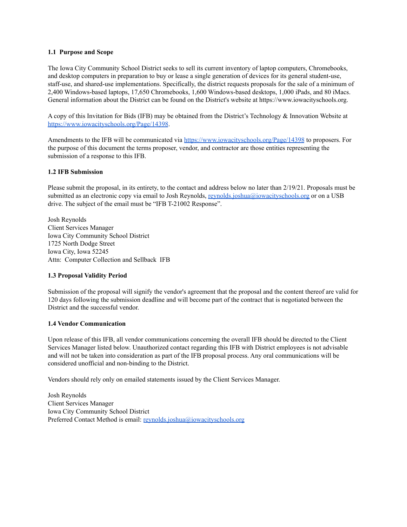## **1.1 Purpose and Scope**

The Iowa City Community School District seeks to sell its current inventory of laptop computers, Chromebooks, and desktop computers in preparation to buy or lease a single generation of devices for its general student-use, staff-use, and shared-use implementations. Specifically, the district requests proposals for the sale of a minimum of 2,400 Windows-based laptops, 17,650 Chromebooks, 1,600 Windows-based desktops, 1,000 iPads, and 80 iMacs. General information about the District can be found on the District's website at <https://www.iowacityschools.org>.

A copy of this Invitation for Bids (IFB) may be obtained from the District's Technology & Innovation Website at <https://www.iowacityschools.org/Page/14398>.

Amendments to the IFB will be communicated via <https://www.iowacityschools.org/Page/14398> to proposers. For the purpose of this document the terms proposer, vendor, and contractor are those entities representing the submission of a response to this IFB.

## **1.2 IFB Submission**

Please submit the proposal, in its entirety, to the contact and address below no later than 2/19/21. Proposals must be submitted as an electronic copy via email to Josh Reynolds, [reynolds.joshua@iowacityschools.org](mailto:reynolds.joshua@iowacityschools.org) or on a USB drive. The subject of the email must be "IFB T-21002 Response".

Josh Reynolds Client Services Manager Iowa City Community School District 1725 North Dodge Street Iowa City, Iowa 52245 Attn: Computer Collection and Sellback IFB

## **1.3 Proposal Validity Period**

Submission of the proposal will signify the vendor's agreement that the proposal and the content thereof are valid for 120 days following the submission deadline and will become part of the contract that is negotiated between the District and the successful vendor.

#### **1.4 Vendor Communication**

Upon release of this IFB, all vendor communications concerning the overall IFB should be directed to the Client Services Manager listed below. Unauthorized contact regarding this IFB with District employees is not advisable and will not be taken into consideration as part of the IFB proposal process. Any oral communications will be considered unofficial and non-binding to the District.

Vendors should rely only on emailed statements issued by the Client Services Manager.

Josh Reynolds Client Services Manager Iowa City Community School District Preferred Contact Method is email: [reynolds.joshua@iowacityschools.org](mailto:reynolds.joshua@iowacityschools.org)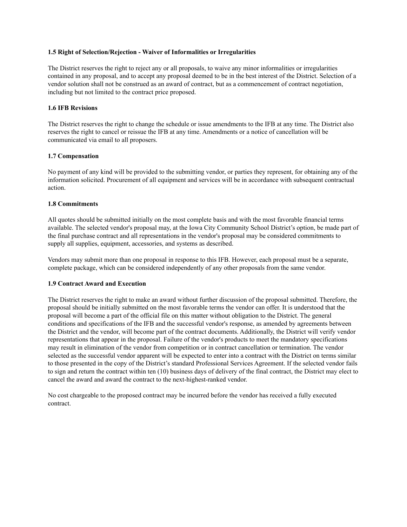## **1.5 Right of Selection/Rejection - Waiver of Informalities or Irregularities**

The District reserves the right to reject any or all proposals, to waive any minor informalities or irregularities contained in any proposal, and to accept any proposal deemed to be in the best interest of the District. Selection of a vendor solution shall not be construed as an award of contract, but as a commencement of contract negotiation, including but not limited to the contract price proposed.

## **1.6 IFB Revisions**

The District reserves the right to change the schedule or issue amendments to the IFB at any time. The District also reserves the right to cancel or reissue the IFB at any time. Amendments or a notice of cancellation will be communicated via email to all proposers.

## **1.7 Compensation**

No payment of any kind will be provided to the submitting vendor, or parties they represent, for obtaining any of the information solicited. Procurement of all equipment and services will be in accordance with subsequent contractual action.

## **1.8 Commitments**

All quotes should be submitted initially on the most complete basis and with the most favorable financial terms available. The selected vendor's proposal may, at the Iowa City Community School District's option, be made part of the final purchase contract and all representations in the vendor's proposal may be considered commitments to supply all supplies, equipment, accessories, and systems as described.

Vendors may submit more than one proposal in response to this IFB. However, each proposal must be a separate, complete package, which can be considered independently of any other proposals from the same vendor.

## **1.9 Contract Award and Execution**

The District reserves the right to make an award without further discussion of the proposal submitted. Therefore, the proposal should be initially submitted on the most favorable terms the vendor can offer. It is understood that the proposal will become a part of the official file on this matter without obligation to the District. The general conditions and specifications of the IFB and the successful vendor's response, as amended by agreements between the District and the vendor, will become part of the contract documents. Additionally, the District will verify vendor representations that appear in the proposal. Failure of the vendor's products to meet the mandatory specifications may result in elimination of the vendor from competition or in contract cancellation or termination. The vendor selected as the successful vendor apparent will be expected to enter into a contract with the District on terms similar to those presented in the copy of the District's standard Professional Services Agreement. If the selected vendor fails to sign and return the contract within ten (10) business days of delivery of the final contract, the District may elect to cancel the award and award the contract to the next-highest-ranked vendor.

No cost chargeable to the proposed contract may be incurred before the vendor has received a fully executed contract.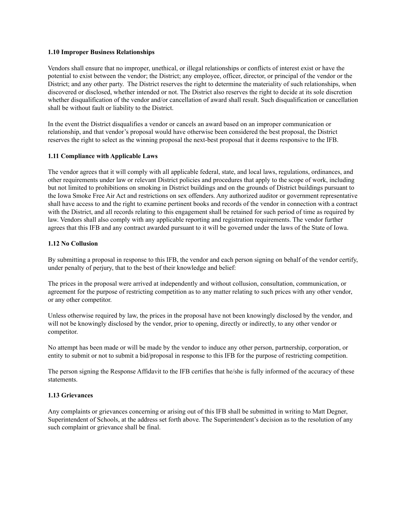## **1.10 Improper Business Relationships**

Vendors shall ensure that no improper, unethical, or illegal relationships or conflicts of interest exist or have the potential to exist between the vendor; the District; any employee, officer, director, or principal of the vendor or the District; and any other party. The District reserves the right to determine the materiality of such relationships, when discovered or disclosed, whether intended or not. The District also reserves the right to decide at its sole discretion whether disqualification of the vendor and/or cancellation of award shall result. Such disqualification or cancellation shall be without fault or liability to the District.

In the event the District disqualifies a vendor or cancels an award based on an improper communication or relationship, and that vendor's proposal would have otherwise been considered the best proposal, the District reserves the right to select as the winning proposal the next-best proposal that it deems responsive to the IFB.

## **1.11 Compliance with Applicable Laws**

The vendor agrees that it will comply with all applicable federal, state, and local laws, regulations, ordinances, and other requirements under law or relevant District policies and procedures that apply to the scope of work, including but not limited to prohibitions on smoking in District buildings and on the grounds of District buildings pursuant to the Iowa Smoke Free Air Act and restrictions on sex offenders. Any authorized auditor or government representative shall have access to and the right to examine pertinent books and records of the vendor in connection with a contract with the District, and all records relating to this engagement shall be retained for such period of time as required by law. Vendors shall also comply with any applicable reporting and registration requirements. The vendor further agrees that this IFB and any contract awarded pursuant to it will be governed under the laws of the State of Iowa.

## **1.12 No Collusion**

By submitting a proposal in response to this IFB, the vendor and each person signing on behalf of the vendor certify, under penalty of perjury, that to the best of their knowledge and belief:

The prices in the proposal were arrived at independently and without collusion, consultation, communication, or agreement for the purpose of restricting competition as to any matter relating to such prices with any other vendor, or any other competitor.

Unless otherwise required by law, the prices in the proposal have not been knowingly disclosed by the vendor, and will not be knowingly disclosed by the vendor, prior to opening, directly or indirectly, to any other vendor or competitor.

No attempt has been made or will be made by the vendor to induce any other person, partnership, corporation, or entity to submit or not to submit a bid/proposal in response to this IFB for the purpose of restricting competition.

The person signing the Response Affidavit to the IFB certifies that he/she is fully informed of the accuracy of these statements.

## **1.13 Grievances**

Any complaints or grievances concerning or arising out of this IFB shall be submitted in writing to Matt Degner, Superintendent of Schools, at the address set forth above. The Superintendent's decision as to the resolution of any such complaint or grievance shall be final.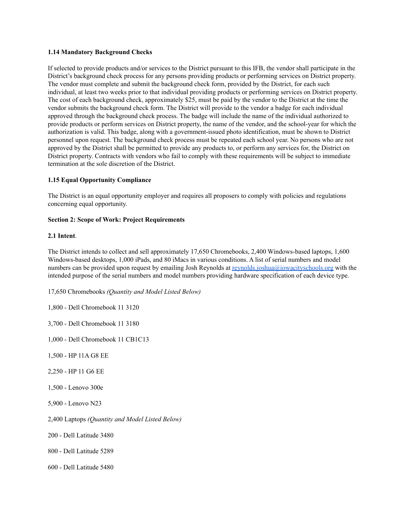## **1.14 Mandatory Background Checks**

 If selected to provide products and/or services to the District pursuant to this IFB, the vendor shall participate in the District's background check process for any persons providing products or performing services on District property. The vendor must complete and submit the background check form, provided by the District, for each such individual, at least two weeks prior to that individual providing products or performing services on District property. The cost of each background check, approximately \$25, must be paid by the vendor to the District at the time the vendor submits the background check form. The District will provide to the vendor a badge for each individual approved through the background check process. The badge will include the name of the individual authorized to provide products or perform services on District property, the name of the vendor, and the school-year for which the authorization is valid. This badge, along with a government-issued photo identification, must be shown to District personnel upon request. The background check process must be repeated each school year. No persons who are not approved by the District shall be permitted to provide any products to, or perform any services for, the District on District property. Contracts with vendors who fail to comply with these requirements will be subject to immediate termination at the sole discretion of the District.

## **1.15 Equal Opportunity Compliance**

 The District is an equal opportunity employer and requires all proposers to comply with policies and regulations concerning equal opportunity.

## **Section 2: Scope of Work: Project Requirements**

## **2.1 Intent**.

 The District intends to collect and sell approximately 17,650 Chromebooks, 2,400 Windows-based laptops, 1,600 Windows-based desktops, 1,000 iPads, and 80 iMacs in various conditions. A list of serial numbers and model numbers can be provided upon request by emailing Josh Reynolds at [reynolds.joshua@iowacityschools.org](mailto:reynolds.joshua@iowacityschools.org) with the intended purpose of the serial numbers and model numbers providing hardware specification of each device type.

 17,650 Chromebooks *(Quantity and Model Listed Below)*

- 1,800 Dell Chromebook 11 3120
- 3,700 Dell Chromebook 11 3180
- 1,000 Dell Chromebook 11 CB1C13
- 1,500 HP 11A G8 EE
- 2,250 HP 11 G6 EE
- 1,500 Lenovo 300e
- 5,900 Lenovo N23
- 2,400 Laptops *(Quantity and Model Listed Below)*
- 200 Dell Latitude 3480
- 800 Dell Latitude 5289
- 600 Dell Latitude 5480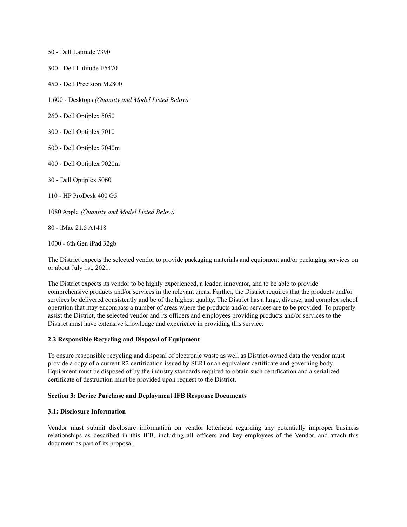50 - Dell Latitude 7390 300 - Dell Latitude E5470 450 - Dell Precision M2800 1,600 - Desktops *(Quantity and Model Listed Below)* 260 - Dell Optiplex 5050 300 - Dell Optiplex 7010 500 - Dell Optiplex 7040m 400 - Dell Optiplex 9020m 30 - Dell Optiplex 5060 110 - HP ProDesk 400 G5  1080 Apple *(Quantity and Model Listed Below)* 80 - iMac 21.5 A1418

1000 - 6th Gen iPad 32gb

 The District expects the selected vendor to provide packaging materials and equipment and/or packaging services on or about July 1st, 2021.

 The District expects its vendor to be highly experienced, a leader, innovator, and to be able to provide comprehensive products and/or services in the relevant areas. Further, the District requires that the products and/or services be delivered consistently and be of the highest quality. The District has a large, diverse, and complex school operation that may encompass a number of areas where the products and/or services are to be provided. To properly assist the District, the selected vendor and its officers and employees providing products and/or services to the District must have extensive knowledge and experience in providing this service.

#### **2.2 Responsible Recycling and Disposal of Equipment**

 To ensure responsible recycling and disposal of electronic waste as well as District-owned data the vendor must provide a copy of a current R2 certification issued by SERI or an equivalent certificate and governing body. Equipment must be disposed of by the industry standards required to obtain such certification and a serialized certificate of destruction must be provided upon request to the District.

#### **Section 3: Device Purchase and Deployment IFB Response Documents**

#### **3.1: Disclosure Information**

 document as part of its proposal.Vendor must submit disclosure information on vendor letterhead regarding any potentially improper business relationships as described in this IFB, including all officers and key employees of the Vendor, and attach this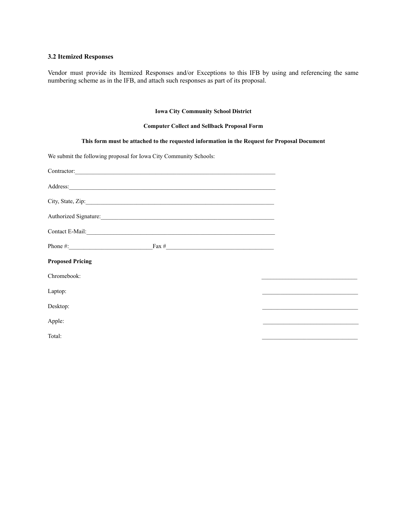### **3.2 Itemized Responses**

 numbering scheme as in the IFB, and attach such responses as part of its proposal. Vendor must provide its Itemized Responses and/or Exceptions to this IFB by using and referencing the same

## **Iowa City Community School District**

## **Computer Collect and Sellback Proposal Form**

| This form must be attached to the requested information in the Request for Proposal Document                                                                                                                                        |                                                                                                                      |
|-------------------------------------------------------------------------------------------------------------------------------------------------------------------------------------------------------------------------------------|----------------------------------------------------------------------------------------------------------------------|
| We submit the following proposal for Iowa City Community Schools:                                                                                                                                                                   |                                                                                                                      |
| Contractor:                                                                                                                                                                                                                         |                                                                                                                      |
| Address: <u>Address:</u> Address: Address: Address: Address: Address: Address: Address: Address: Address: Address: Address: Address: Address: Address: Address: Address: Address: Address: Address: Address: Address: Address: Addr |                                                                                                                      |
| City, State, Zip:                                                                                                                                                                                                                   |                                                                                                                      |
| Authorized Signature:                                                                                                                                                                                                               |                                                                                                                      |
| Contact E-Mail: <u>Contact E-Mail:</u>                                                                                                                                                                                              |                                                                                                                      |
|                                                                                                                                                                                                                                     |                                                                                                                      |
| <b>Proposed Pricing</b>                                                                                                                                                                                                             |                                                                                                                      |
| Chromebook:                                                                                                                                                                                                                         | <u> 1989 - Johann Stein, marwolaethau a bhann an t-Amhair an t-Amhair an t-Amhair an t-Amhair an t-Amhair an t-A</u> |
| Laptop:                                                                                                                                                                                                                             |                                                                                                                      |
| Desktop:                                                                                                                                                                                                                            |                                                                                                                      |
| Apple:                                                                                                                                                                                                                              | the control of the control of the control of the control of the control of the control of                            |
| Total:                                                                                                                                                                                                                              | the control of the control of the control of the control of the control of the control of                            |